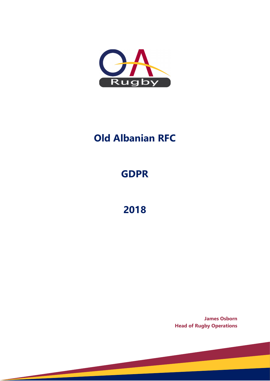

# **Old Albanian RFC**

# **GDPR**

**2018**

**James Osborn Head of Rugby Operations**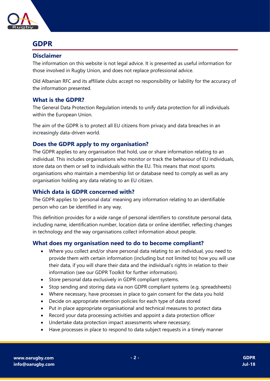

## **GDPR**

#### **Disclaimer**

The information on this website is not legal advice. It is presented as useful information for those involved in Rugby Union, and does not replace professional advice.

Old Albanian RFC and its affiliate clubs accept no responsibility or liability for the accuracy of the information presented.

#### **What is the GDPR?**

The General Data Protection Regulation intends to unify data protection for all individuals within the European Union.

The aim of the GDPR is to protect all EU citizens from privacy and data breaches in an increasingly data-driven world.

### **Does the GDPR apply to my organisation?**

The GDPR applies to any organisation that hold, use or share information relating to an individual. This includes organisations who monitor or track the behaviour of EU individuals, store data on them or sell to individuals within the EU. This means that most sports organisations who maintain a membership list or database need to comply as well as any organisation holding any data relating to an EU citizen.

#### **Which data is GDPR concerned with?**

The GDPR applies to 'personal data' meaning any information relating to an identifiable person who can be identified in any way.

This definition provides for a wide range of personal identifiers to constitute personal data, including name, identification number, location data or online identifier, reflecting changes in technology and the way organisations collect information about people.

### **What does my organisation need to do to become compliant?**

- Where you collect and/or share personal data relating to an individual, you need to provide them with certain information (including but not limited to) how you will use their data, if you will share their data and the individual's rights in relation to their information (see our GDPR Toolkit for further information).
- Store personal data exclusively in GDPR compliant systems.
- Stop sending and storing data via non GDPR compliant systems (e.g. spreadsheets)
- Where necessary, have processes in place to gain consent for the data you hold
- Decide on appropriate retention policies for each type of data stored
- Put in place appropriate organisational and technical measures to protect data
- Record your data processing activities and appoint a data protection officer
- Undertake data protection impact assessments where necessary;
- Have processes in place to respond to data subject requests in a timely manner